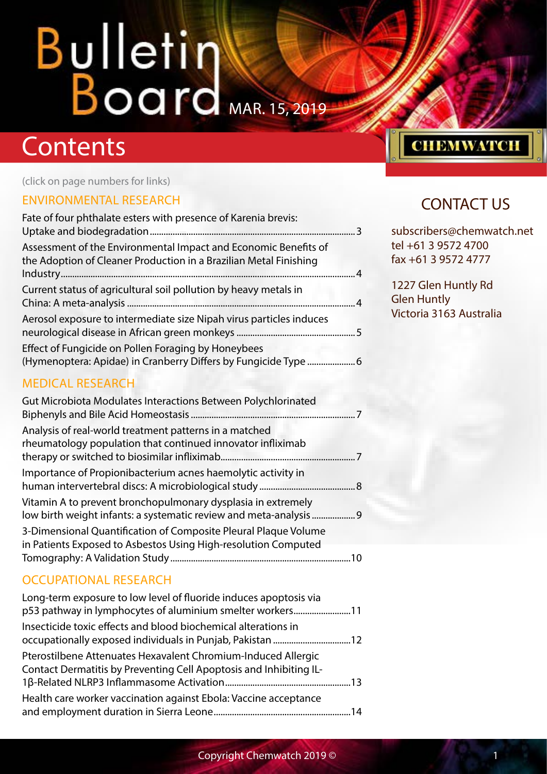## **Contents**

(click on page numbers for links)

### [ENVIRONMENTAL RESEARCH](#page-2-0)

| Fate of four phthalate esters with presence of Karenia brevis:                                                                       |  |
|--------------------------------------------------------------------------------------------------------------------------------------|--|
| Assessment of the Environmental Impact and Economic Benefits of<br>the Adoption of Cleaner Production in a Brazilian Metal Finishing |  |
| Current status of agricultural soil pollution by heavy metals in                                                                     |  |
| Aerosol exposure to intermediate size Nipah virus particles induces                                                                  |  |
| Effect of Fungicide on Pollen Foraging by Honeybees                                                                                  |  |

## [\(Hymenoptera: Apidae\) in Cranberry Differs by Fungicide Type](#page-5-0) .....................6

#### [MEDICAL RESEARCH](#page-6-0)

| Gut Microbiota Modulates Interactions Between Polychlorinated                                                                                                       |  |
|---------------------------------------------------------------------------------------------------------------------------------------------------------------------|--|
| Analysis of real-world treatment patterns in a matched<br>rheumatology population that continued innovator infliximab                                               |  |
| Importance of Propionibacterium acnes haemolytic activity in                                                                                                        |  |
| Vitamin A to prevent bronchopulmonary dysplasia in extremely                                                                                                        |  |
| 3-Dimensional Quantification of Composite Pleural Plaque Volume<br>in Patients Exposed to Asbestos Using High-resolution Computed<br>Tomography: A Validation Study |  |
|                                                                                                                                                                     |  |

### [OCCUPATIONAL RESEARCH](#page-10-0)

| Long-term exposure to low level of fluoride induces apoptosis via<br>p53 pathway in lymphocytes of aluminium smelter workers11      |  |
|-------------------------------------------------------------------------------------------------------------------------------------|--|
| Insecticide toxic effects and blood biochemical alterations in<br>occupationally exposed individuals in Punjab, Pakistan 12         |  |
| Pterostilbene Attenuates Hexavalent Chromium-Induced Allergic<br>Contact Dermatitis by Preventing Cell Apoptosis and Inhibiting IL- |  |
| Health care worker vaccination against Ebola: Vaccine acceptance                                                                    |  |

## **CHEMWATCH**

## CONTACT US

subscribers@chemwatch.net tel +61 3 9572 4700 fax +61 3 9572 4777

1227 Glen Huntly Rd Glen Huntly Victoria 3163 Australia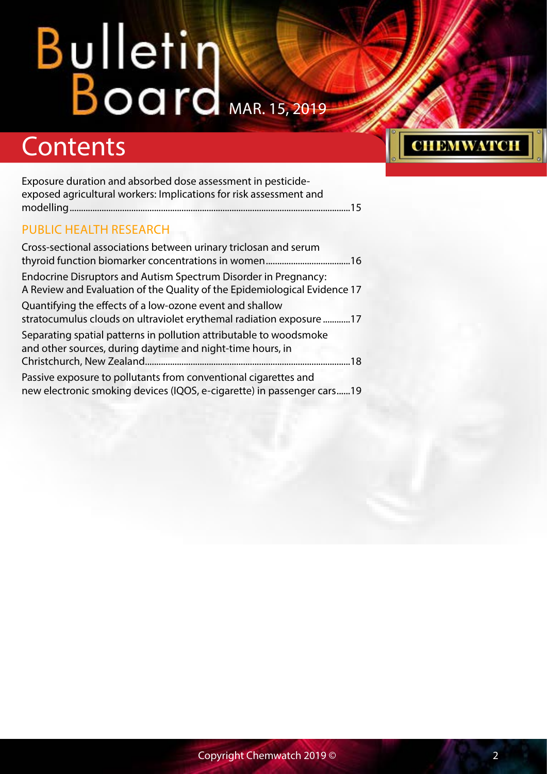## **Contents**

| Exposure duration and absorbed dose assessment in pesticide-<br>exposed agricultural workers: Implications for risk assessment and           |
|----------------------------------------------------------------------------------------------------------------------------------------------|
|                                                                                                                                              |
| <b>PUBLIC HEALTH RESEARCH</b>                                                                                                                |
| Cross-sectional associations between urinary triclosan and serum                                                                             |
| Endocrine Disruptors and Autism Spectrum Disorder in Pregnancy:<br>A Review and Evaluation of the Quality of the Epidemiological Evidence 17 |
| Quantifying the effects of a low-ozone event and shallow<br>stratocumulus clouds on ultraviolet erythemal radiation exposure17               |
| Separating spatial patterns in pollution attributable to woodsmoke<br>and other sources, during daytime and night-time hours, in             |
| .18                                                                                                                                          |
| Passive exposure to pollutants from conventional cigarettes and                                                                              |
| new electronic smoking devices (IQOS, e-cigarette) in passenger cars19                                                                       |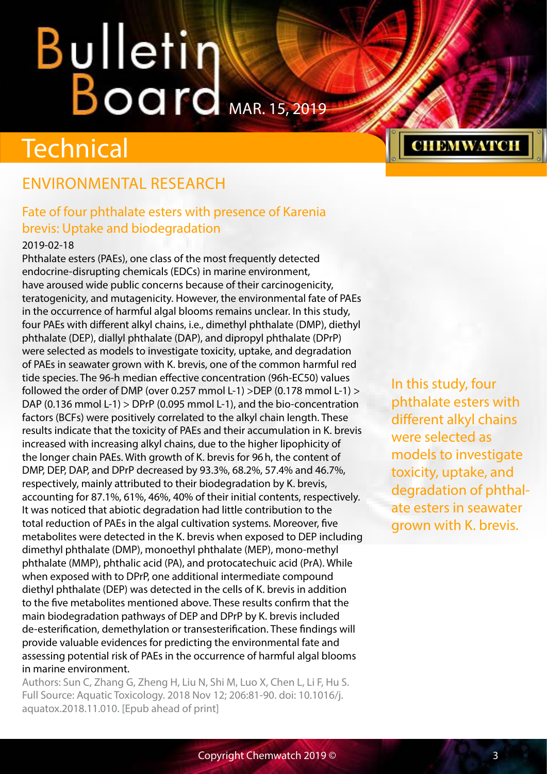## <span id="page-2-0"></span>**Technical**

## ENVIRONMENTAL RESEARCH

### Fate of four phthalate esters with presence of Karenia brevis: Uptake and biodegradation

#### 2019-02-18

Phthalate esters (PAEs), one class of the most frequently detected endocrine-disrupting chemicals (EDCs) in marine environment, have aroused wide public concerns because of their carcinogenicity, teratogenicity, and mutagenicity. However, the environmental fate of PAEs in the occurrence of harmful algal blooms remains unclear. In this study, four PAEs with different alkyl chains, i.e., dimethyl phthalate (DMP), diethyl phthalate (DEP), diallyl phthalate (DAP), and dipropyl phthalate (DPrP) were selected as models to investigate toxicity, uptake, and degradation of PAEs in seawater grown with K. brevis, one of the common harmful red tide species. The 96-h median effective concentration (96h-EC50) values followed the order of DMP (over 0.257 mmol L-1) >DEP (0.178 mmol L-1) > DAP (0.136 mmol L-1) > DPrP (0.095 mmol L-1), and the bio-concentration factors (BCFs) were positively correlated to the alkyl chain length. These results indicate that the toxicity of PAEs and their accumulation in K. brevis increased with increasing alkyl chains, due to the higher lipophicity of the longer chain PAEs. With growth of K. brevis for 96h, the content of DMP, DEP, DAP, and DPrP decreased by 93.3%, 68.2%, 57.4% and 46.7%, respectively, mainly attributed to their biodegradation by K. brevis, accounting for 87.1%, 61%, 46%, 40% of their initial contents, respectively. It was noticed that abiotic degradation had little contribution to the total reduction of PAEs in the algal cultivation systems. Moreover, five metabolites were detected in the K. brevis when exposed to DEP including dimethyl phthalate (DMP), monoethyl phthalate (MEP), mono-methyl phthalate (MMP), phthalic acid (PA), and protocatechuic acid (PrA). While when exposed with to DPrP, one additional intermediate compound diethyl phthalate (DEP) was detected in the cells of K. brevis in addition to the five metabolites mentioned above. These results confirm that the main biodegradation pathways of DEP and DPrP by K. brevis included de-esterification, demethylation or transesterification. These findings will provide valuable evidences for predicting the environmental fate and assessing potential risk of PAEs in the occurrence of harmful algal blooms in marine environment.

Authors: Sun C, Zhang G, Zheng H, Liu N, Shi M, Luo X, Chen L, Li F, Hu S. Full Source: Aquatic Toxicology. 2018 Nov 12; 206:81-90. doi: 10.1016/j. aquatox.2018.11.010. [Epub ahead of print]

In this study, four phthalate esters with different alkyl chains were selected as models to investigate toxicity, uptake, and degradation of phthalate esters in seawater grown with K. brevis.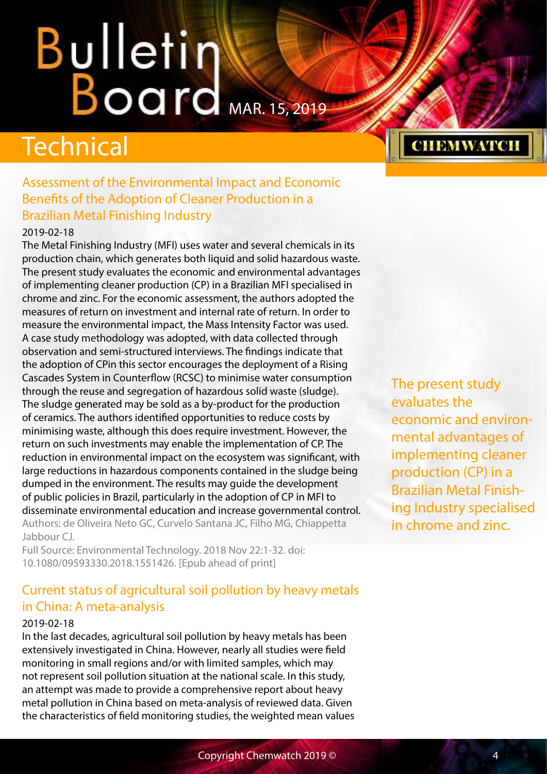## <span id="page-3-0"></span>Technical

### Assessment of the Environmental Impact and Economic Benefits of the Adoption of Cleaner Production in a Brazilian Metal Finishing Industry

#### 2019-02-18

The Metal Finishing Industry (MFI) uses water and several chemicals in its production chain, which generates both liquid and solid hazardous waste. The present study evaluates the economic and environmental advantages of implementing cleaner production (CP) in a Brazilian MFI specialised in chrome and zinc. For the economic assessment, the authors adopted the measures of return on investment and internal rate of return. In order to measure the environmental impact, the Mass Intensity Factor was used. A case study methodology was adopted, with data collected through observation and semi-structured interviews. The findings indicate that the adoption of CPin this sector encourages the deployment of a Rising Cascades System in Counterflow (RCSC) to minimise water consumption through the reuse and segregation of hazardous solid waste (sludge). The sludge generated may be sold as a by-product for the production of ceramics. The authors identified opportunities to reduce costs by minimising waste, although this does require investment. However, the return on such investments may enable the implementation of CP. The reduction in environmental impact on the ecosystem was significant, with large reductions in hazardous components contained in the sludge being dumped in the environment. The results may guide the development of public policies in Brazil, particularly in the adoption of CP in MFI to disseminate environmental education and increase governmental control. Authors: de Oliveira Neto GC, Curvelo Santana JC, Filho MG, Chiappetta Jabbour CJ.

Full Source: Environmental Technology. 2018 Nov 22:1-32. doi: 10.1080/09593330.2018.1551426. [Epub ahead of print]

### Current status of agricultural soil pollution by heavy metals in China: A meta-analysis

#### 2019-02-18

In the last decades, agricultural soil pollution by heavy metals has been extensively investigated in China. However, nearly all studies were field monitoring in small regions and/or with limited samples, which may not represent soil pollution situation at the national scale. In this study, an attempt was made to provide a comprehensive report about heavy metal pollution in China based on meta-analysis of reviewed data. Given the characteristics of field monitoring studies, the weighted mean values The present study evaluates the economic and environmental advantages of implementing cleaner production (CP) in a Brazilian Metal Finishing Industry specialised in chrome and zinc.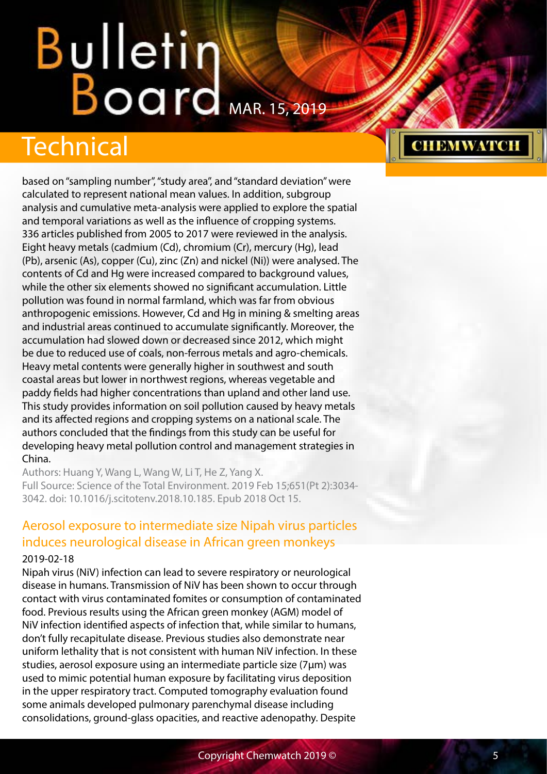## <span id="page-4-0"></span>Technical

based on "sampling number", "study area", and "standard deviation" were calculated to represent national mean values. In addition, subgroup analysis and cumulative meta-analysis were applied to explore the spatial and temporal variations as well as the influence of cropping systems. 336 articles published from 2005 to 2017 were reviewed in the analysis. Eight heavy metals (cadmium (Cd), chromium (Cr), mercury (Hg), lead (Pb), arsenic (As), copper (Cu), zinc (Zn) and nickel (Ni)) were analysed. The contents of Cd and Hg were increased compared to background values, while the other six elements showed no significant accumulation. Little pollution was found in normal farmland, which was far from obvious anthropogenic emissions. However, Cd and Hg in mining & smelting areas and industrial areas continued to accumulate significantly. Moreover, the accumulation had slowed down or decreased since 2012, which might be due to reduced use of coals, non-ferrous metals and agro-chemicals. Heavy metal contents were generally higher in southwest and south coastal areas but lower in northwest regions, whereas vegetable and paddy fields had higher concentrations than upland and other land use. This study provides information on soil pollution caused by heavy metals and its affected regions and cropping systems on a national scale. The authors concluded that the findings from this study can be useful for developing heavy metal pollution control and management strategies in China.

Authors: Huang Y, Wang L, Wang W, Li T, He Z, Yang X. Full Source: Science of the Total Environment. 2019 Feb 15;651(Pt 2):3034- 3042. doi: 10.1016/j.scitotenv.2018.10.185. Epub 2018 Oct 15.

#### Aerosol exposure to intermediate size Nipah virus particles induces neurological disease in African green monkeys 2019-02-18

Nipah virus (NiV) infection can lead to severe respiratory or neurological disease in humans. Transmission of NiV has been shown to occur through contact with virus contaminated fomites or consumption of contaminated food. Previous results using the African green monkey (AGM) model of NiV infection identified aspects of infection that, while similar to humans, don't fully recapitulate disease. Previous studies also demonstrate near uniform lethality that is not consistent with human NiV infection. In these studies, aerosol exposure using an intermediate particle size (7μm) was used to mimic potential human exposure by facilitating virus deposition in the upper respiratory tract. Computed tomography evaluation found some animals developed pulmonary parenchymal disease including consolidations, ground-glass opacities, and reactive adenopathy. Despite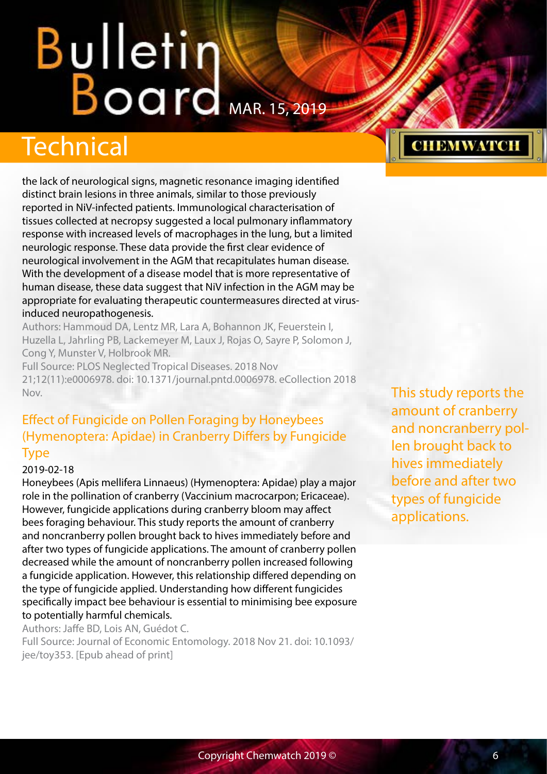## <span id="page-5-0"></span>Technical

the lack of neurological signs, magnetic resonance imaging identified distinct brain lesions in three animals, similar to those previously reported in NiV-infected patients. Immunological characterisation of tissues collected at necropsy suggested a local pulmonary inflammatory response with increased levels of macrophages in the lung, but a limited neurologic response. These data provide the first clear evidence of neurological involvement in the AGM that recapitulates human disease. With the development of a disease model that is more representative of human disease, these data suggest that NiV infection in the AGM may be appropriate for evaluating therapeutic countermeasures directed at virusinduced neuropathogenesis.

Authors: Hammoud DA, Lentz MR, Lara A, Bohannon JK, Feuerstein I, Huzella L, Jahrling PB, Lackemeyer M, Laux J, Rojas O, Sayre P, Solomon J, Cong Y, Munster V, Holbrook MR.

Full Source: PLOS Neglected Tropical Diseases. 2018 Nov 21;12(11):e0006978. doi: 10.1371/journal.pntd.0006978. eCollection 2018 Nov.

### Effect of Fungicide on Pollen Foraging by Honeybees (Hymenoptera: Apidae) in Cranberry Differs by Fungicide Type

#### 2019-02-18

Honeybees (Apis mellifera Linnaeus) (Hymenoptera: Apidae) play a major role in the pollination of cranberry (Vaccinium macrocarpon; Ericaceae). However, fungicide applications during cranberry bloom may affect bees foraging behaviour. This study reports the amount of cranberry and noncranberry pollen brought back to hives immediately before and after two types of fungicide applications. The amount of cranberry pollen decreased while the amount of noncranberry pollen increased following a fungicide application. However, this relationship differed depending on the type of fungicide applied. Understanding how different fungicides specifically impact bee behaviour is essential to minimising bee exposure to potentially harmful chemicals.

Authors: Jaffe BD, Lois AN, Guédot C. Full Source: Journal of Economic Entomology. 2018 Nov 21. doi: 10.1093/ jee/toy353. [Epub ahead of print]

This study reports the amount of cranberry and noncranberry pollen brought back to hives immediately before and after two types of fungicide applications.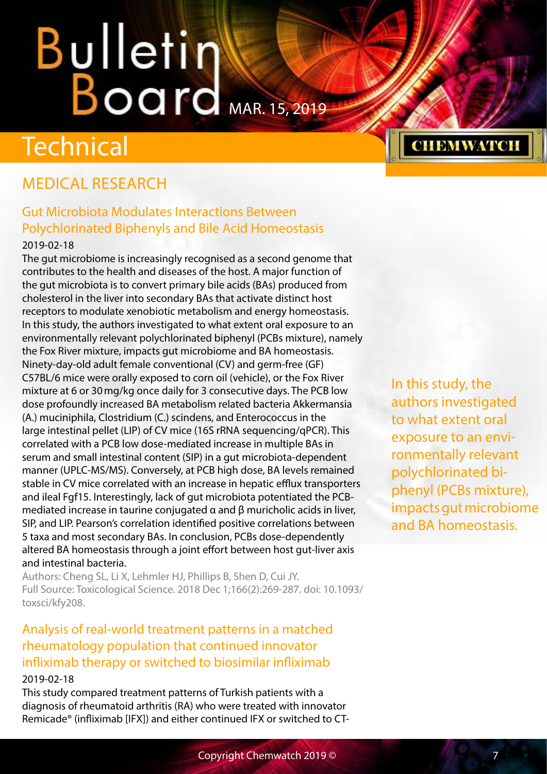## <span id="page-6-0"></span>**Technical**

## MEDICAL RESEARCH

## Gut Microbiota Modulates Interactions Between Polychlorinated Biphenyls and Bile Acid Homeostasis

#### 2019-02-18

The gut microbiome is increasingly recognised as a second genome that contributes to the health and diseases of the host. A major function of the gut microbiota is to convert primary bile acids (BAs) produced from cholesterol in the liver into secondary BAs that activate distinct host receptors to modulate xenobiotic metabolism and energy homeostasis. In this study, the authors investigated to what extent oral exposure to an environmentally relevant polychlorinated biphenyl (PCBs mixture), namely the Fox River mixture, impacts gut microbiome and BA homeostasis. Ninety-day-old adult female conventional (CV) and germ-free (GF) C57BL/6 mice were orally exposed to corn oil (vehicle), or the Fox River mixture at 6 or 30mg/kg once daily for 3 consecutive days. The PCB low dose profoundly increased BA metabolism related bacteria Akkermansia (A.) muciniphila, Clostridium (C.) scindens, and Enterococcus in the large intestinal pellet (LIP) of CV mice (16S rRNA sequencing/qPCR). This correlated with a PCB low dose-mediated increase in multiple BAs in serum and small intestinal content (SIP) in a gut microbiota-dependent manner (UPLC-MS/MS). Conversely, at PCB high dose, BA levels remained stable in CV mice correlated with an increase in hepatic efflux transporters and ileal Fgf15. Interestingly, lack of gut microbiota potentiated the PCBmediated increase in taurine conjugated α and β muricholic acids in liver, SIP, and LIP. Pearson's correlation identified positive correlations between 5 taxa and most secondary BAs. In conclusion, PCBs dose-dependently altered BA homeostasis through a joint effort between host gut-liver axis and intestinal bacteria.

Authors: Cheng SL, Li X, Lehmler HJ, Phillips B, Shen D, Cui JY. Full Source: Toxicological Science. 2018 Dec 1;166(2):269-287. doi: 10.1093/ toxsci/kfy208.

### Analysis of real-world treatment patterns in a matched rheumatology population that continued innovator infliximab therapy or switched to biosimilar infliximab 2019-02-18

This study compared treatment patterns of Turkish patients with a diagnosis of rheumatoid arthritis (RA) who were treated with innovator Remicade® (infliximab [IFX]) and either continued IFX or switched to CT-

In this study, the authors investigated to what extent oral exposure to an environmentally relevant polychlorinated biphenyl (PCBs mixture), impacts gut microbiome and BA homeostasis.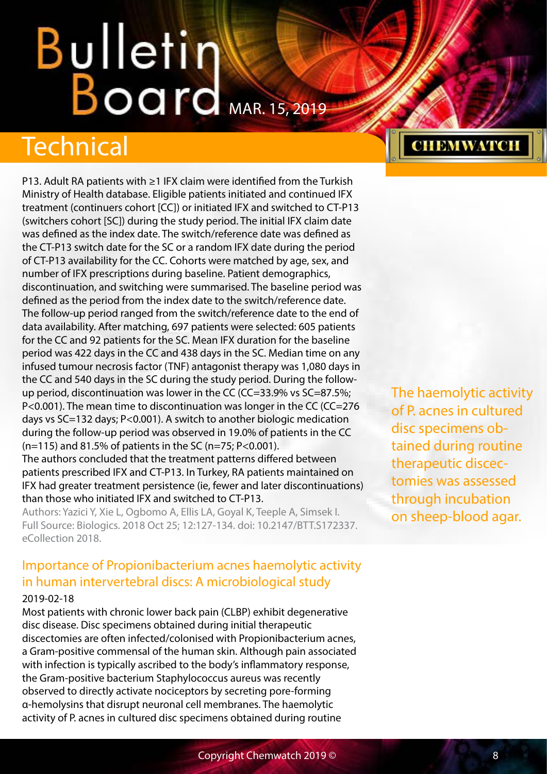## <span id="page-7-0"></span>Technical

P13. Adult RA patients with ≥1 IFX claim were identified from the Turkish Ministry of Health database. Eligible patients initiated and continued IFX treatment (continuers cohort [CC]) or initiated IFX and switched to CT-P13 (switchers cohort [SC]) during the study period. The initial IFX claim date was defined as the index date. The switch/reference date was defined as the CT-P13 switch date for the SC or a random IFX date during the period of CT-P13 availability for the CC. Cohorts were matched by age, sex, and number of IFX prescriptions during baseline. Patient demographics, discontinuation, and switching were summarised. The baseline period was defined as the period from the index date to the switch/reference date. The follow-up period ranged from the switch/reference date to the end of data availability. After matching, 697 patients were selected: 605 patients for the CC and 92 patients for the SC. Mean IFX duration for the baseline period was 422 days in the CC and 438 days in the SC. Median time on any infused tumour necrosis factor (TNF) antagonist therapy was 1,080 days in the CC and 540 days in the SC during the study period. During the followup period, discontinuation was lower in the CC (CC=33.9% vs SC=87.5%; P<0.001). The mean time to discontinuation was longer in the CC (CC=276 days vs SC=132 days; P<0.001). A switch to another biologic medication during the follow-up period was observed in 19.0% of patients in the CC (n=115) and 81.5% of patients in the SC (n=75; P<0.001).

The authors concluded that the treatment patterns differed between patients prescribed IFX and CT-P13. In Turkey, RA patients maintained on IFX had greater treatment persistence (ie, fewer and later discontinuations) than those who initiated IFX and switched to CT-P13.

Authors: Yazici Y, Xie L, Ogbomo A, Ellis LA, Goyal K, Teeple A, Simsek I. Full Source: Biologics. 2018 Oct 25; 12:127-134. doi: 10.2147/BTT.S172337. eCollection 2018.

## Importance of Propionibacterium acnes haemolytic activity in human intervertebral discs: A microbiological study

#### 2019-02-18

Most patients with chronic lower back pain (CLBP) exhibit degenerative disc disease. Disc specimens obtained during initial therapeutic discectomies are often infected/colonised with Propionibacterium acnes, a Gram-positive commensal of the human skin. Although pain associated with infection is typically ascribed to the body's inflammatory response, the Gram-positive bacterium Staphylococcus aureus was recently observed to directly activate nociceptors by secreting pore-forming α-hemolysins that disrupt neuronal cell membranes. The haemolytic activity of P. acnes in cultured disc specimens obtained during routine

## **CHEMWATCH**

The haemolytic activity of P. acnes in cultured disc specimens obtained during routine therapeutic discectomies was assessed through incubation on sheep-blood agar.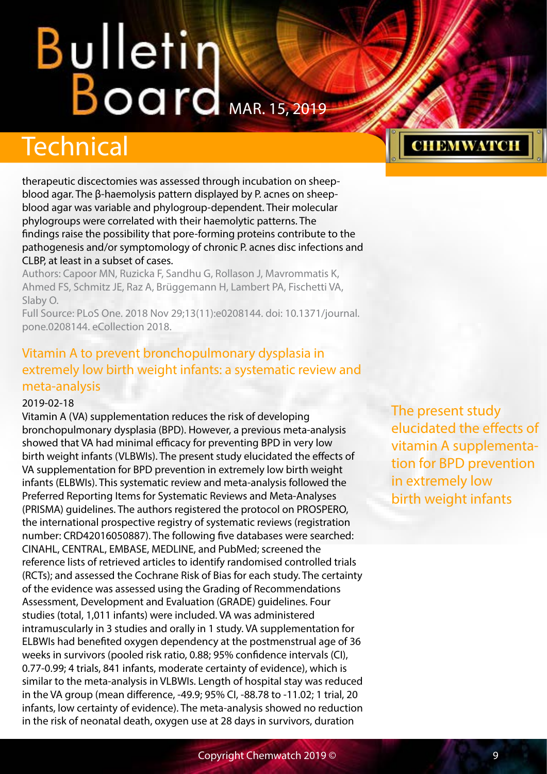## <span id="page-8-0"></span>**Technical**

therapeutic discectomies was assessed through incubation on sheepblood agar. The β-haemolysis pattern displayed by P. acnes on sheepblood agar was variable and phylogroup-dependent. Their molecular phylogroups were correlated with their haemolytic patterns. The findings raise the possibility that pore-forming proteins contribute to the pathogenesis and/or symptomology of chronic P. acnes disc infections and CLBP, at least in a subset of cases.

Authors: Capoor MN, Ruzicka F, Sandhu G, Rollason J, Mavrommatis K, Ahmed FS, Schmitz JE, Raz A, Brüggemann H, Lambert PA, Fischetti VA, Slaby O.

Full Source: PLoS One. 2018 Nov 29;13(11):e0208144. doi: 10.1371/journal. pone.0208144. eCollection 2018.

### Vitamin A to prevent bronchopulmonary dysplasia in extremely low birth weight infants: a systematic review and meta-analysis

#### 2019-02-18

Vitamin A (VA) supplementation reduces the risk of developing bronchopulmonary dysplasia (BPD). However, a previous meta-analysis showed that VA had minimal efficacy for preventing BPD in very low birth weight infants (VLBWIs). The present study elucidated the effects of VA supplementation for BPD prevention in extremely low birth weight infants (ELBWIs). This systematic review and meta-analysis followed the Preferred Reporting Items for Systematic Reviews and Meta-Analyses (PRISMA) guidelines. The authors registered the protocol on PROSPERO, the international prospective registry of systematic reviews (registration number: CRD42016050887). The following five databases were searched: CINAHL, CENTRAL, EMBASE, MEDLINE, and PubMed; screened the reference lists of retrieved articles to identify randomised controlled trials (RCTs); and assessed the Cochrane Risk of Bias for each study. The certainty of the evidence was assessed using the Grading of Recommendations Assessment, Development and Evaluation (GRADE) guidelines. Four studies (total, 1,011 infants) were included. VA was administered intramuscularly in 3 studies and orally in 1 study. VA supplementation for ELBWIs had benefited oxygen dependency at the postmenstrual age of 36 weeks in survivors (pooled risk ratio, 0.88; 95% confidence intervals (CI), 0.77-0.99; 4 trials, 841 infants, moderate certainty of evidence), which is similar to the meta-analysis in VLBWIs. Length of hospital stay was reduced in the VA group (mean difference, -49.9; 95% CI, -88.78 to -11.02; 1 trial, 20 infants, low certainty of evidence). The meta-analysis showed no reduction in the risk of neonatal death, oxygen use at 28 days in survivors, duration

The present study elucidated the effects of vitamin A supplementation for BPD prevention in extremely low birth weight infants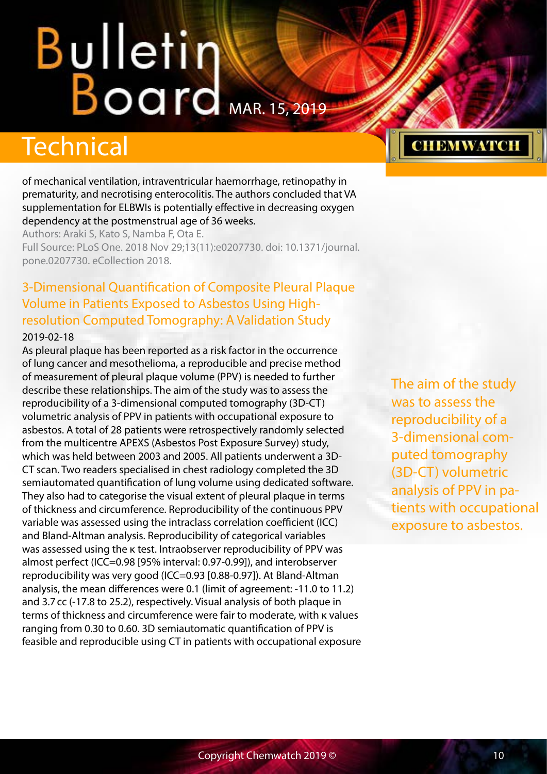## <span id="page-9-0"></span>Bulletin Board

## Technical

of mechanical ventilation, intraventricular haemorrhage, retinopathy in prematurity, and necrotising enterocolitis. The authors concluded that VA supplementation for ELBWIs is potentially effective in decreasing oxygen dependency at the postmenstrual age of 36 weeks.

Authors: Araki S, Kato S, Namba F, Ota E. Full Source: PLoS One. 2018 Nov 29;13(11):e0207730. doi: 10.1371/journal. pone.0207730. eCollection 2018.

## 3-Dimensional Quantification of Composite Pleural Plaque Volume in Patients Exposed to Asbestos Using Highresolution Computed Tomography: A Validation Study

#### 2019-02-18

As pleural plaque has been reported as a risk factor in the occurrence of lung cancer and mesothelioma, a reproducible and precise method of measurement of pleural plaque volume (PPV) is needed to further describe these relationships. The aim of the study was to assess the reproducibility of a 3-dimensional computed tomography (3D-CT) volumetric analysis of PPV in patients with occupational exposure to asbestos. A total of 28 patients were retrospectively randomly selected from the multicentre APEXS (Asbestos Post Exposure Survey) study, which was held between 2003 and 2005. All patients underwent a 3D-CT scan. Two readers specialised in chest radiology completed the 3D semiautomated quantification of lung volume using dedicated software. They also had to categorise the visual extent of pleural plaque in terms of thickness and circumference. Reproducibility of the continuous PPV variable was assessed using the intraclass correlation coefficient (ICC) and Bland-Altman analysis. Reproducibility of categorical variables was assessed using the κ test. Intraobserver reproducibility of PPV was almost perfect (ICC=0.98 [95% interval: 0.97-0.99]), and interobserver reproducibility was very good (ICC=0.93 [0.88-0.97]). At Bland-Altman analysis, the mean differences were 0.1 (limit of agreement: -11.0 to 11.2) and 3.7cc (-17.8 to 25.2), respectively. Visual analysis of both plaque in terms of thickness and circumference were fair to moderate, with κ values ranging from 0.30 to 0.60. 3D semiautomatic quantification of PPV is feasible and reproducible using CT in patients with occupational exposure

The aim of the study was to assess the reproducibility of a 3-dimensional computed tomography (3D-CT) volumetric analysis of PPV in patients with occupational exposure to asbestos.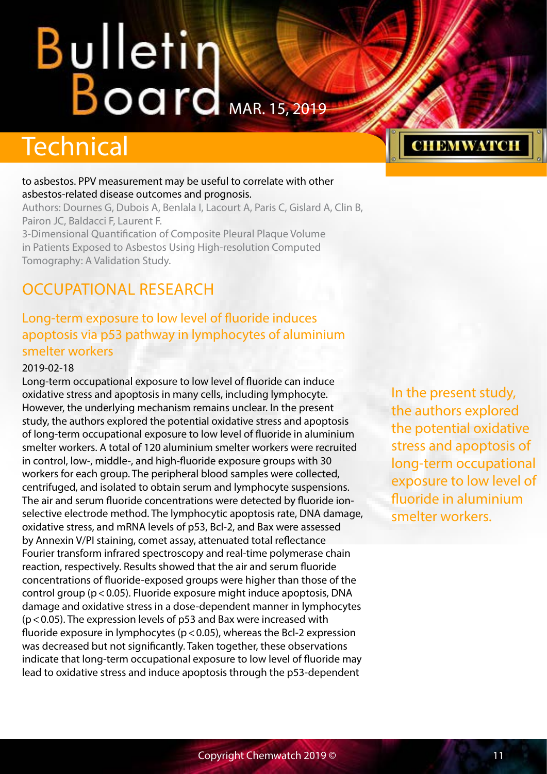## <span id="page-10-0"></span>**Technical**

#### to asbestos. PPV measurement may be useful to correlate with other asbestos-related disease outcomes and prognosis.

Authors: Dournes G, Dubois A, Benlala I, Lacourt A, Paris C, Gislard A, Clin B, Pairon JC, Baldacci F, Laurent F.

3-Dimensional Quantification of Composite Pleural Plaque Volume in Patients Exposed to Asbestos Using High-resolution Computed Tomography: A Validation Study.

## OCCUPATIONAL RESEARCH

## Long-term exposure to low level of fluoride induces apoptosis via p53 pathway in lymphocytes of aluminium smelter workers

#### 2019-02-18

Long-term occupational exposure to low level of fluoride can induce oxidative stress and apoptosis in many cells, including lymphocyte. However, the underlying mechanism remains unclear. In the present study, the authors explored the potential oxidative stress and apoptosis of long-term occupational exposure to low level of fluoride in aluminium smelter workers. A total of 120 aluminium smelter workers were recruited in control, low-, middle-, and high-fluoride exposure groups with 30 workers for each group. The peripheral blood samples were collected, centrifuged, and isolated to obtain serum and lymphocyte suspensions. The air and serum fluoride concentrations were detected by fluoride ionselective electrode method. The lymphocytic apoptosis rate, DNA damage, oxidative stress, and mRNA levels of p53, Bcl-2, and Bax were assessed by Annexin V/PI staining, comet assay, attenuated total reflectance Fourier transform infrared spectroscopy and real-time polymerase chain reaction, respectively. Results showed that the air and serum fluoride concentrations of fluoride-exposed groups were higher than those of the control group ( $p < 0.05$ ). Fluoride exposure might induce apoptosis, DNA damage and oxidative stress in a dose-dependent manner in lymphocytes  $(p<0.05)$ . The expression levels of p53 and Bax were increased with fluoride exposure in lymphocytes ( $p$  < 0.05), whereas the Bcl-2 expression was decreased but not significantly. Taken together, these observations indicate that long-term occupational exposure to low level of fluoride may lead to oxidative stress and induce apoptosis through the p53-dependent

In the present study, the authors explored the potential oxidative stress and apoptosis of long-term occupational exposure to low level of fluoride in aluminium smelter workers.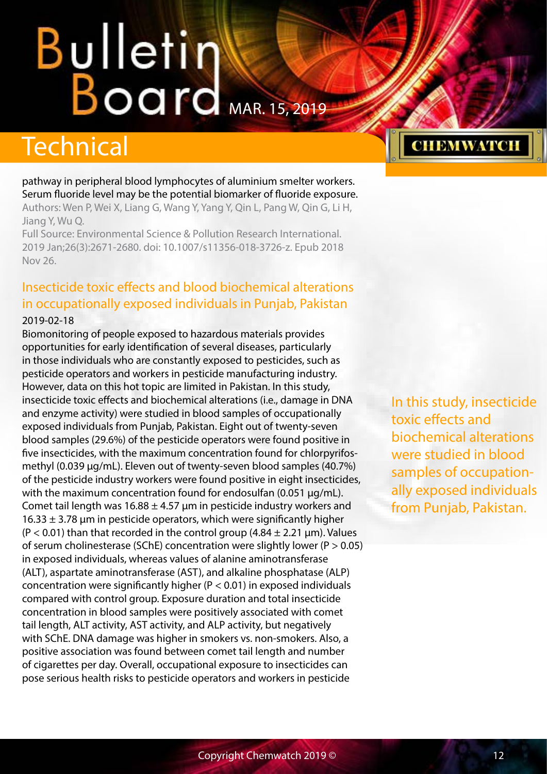## <span id="page-11-0"></span>Technical

pathway in peripheral blood lymphocytes of aluminium smelter workers. Serum fluoride level may be the potential biomarker of fluoride exposure. Authors: Wen P, Wei X, Liang G, Wang Y, Yang Y, Qin L, Pang W, Qin G, Li H,

Jiang Y, Wu Q.

Full Source: Environmental Science & Pollution Research International. 2019 Jan;26(3):2671-2680. doi: 10.1007/s11356-018-3726-z. Epub 2018 Nov 26.

#### Insecticide toxic effects and blood biochemical alterations in occupationally exposed individuals in Punjab, Pakistan 2019-02-18

Biomonitoring of people exposed to hazardous materials provides opportunities for early identification of several diseases, particularly in those individuals who are constantly exposed to pesticides, such as pesticide operators and workers in pesticide manufacturing industry. However, data on this hot topic are limited in Pakistan. In this study, insecticide toxic effects and biochemical alterations (i.e., damage in DNA and enzyme activity) were studied in blood samples of occupationally exposed individuals from Punjab, Pakistan. Eight out of twenty-seven blood samples (29.6%) of the pesticide operators were found positive in five insecticides, with the maximum concentration found for chlorpyrifosmethyl (0.039 μg/mL). Eleven out of twenty-seven blood samples (40.7%) of the pesticide industry workers were found positive in eight insecticides, with the maximum concentration found for endosulfan (0.051 μg/mL). Comet tail length was  $16.88 \pm 4.57$  µm in pesticide industry workers and  $16.33 \pm 3.78$  µm in pesticide operators, which were significantly higher  $(P < 0.01)$  than that recorded in the control group  $(4.84 \pm 2.21 \,\mu m)$ . Values of serum cholinesterase (SChE) concentration were slightly lower ( $P > 0.05$ ) in exposed individuals, whereas values of alanine aminotransferase (ALT), aspartate aminotransferase (AST), and alkaline phosphatase (ALP) concentration were significantly higher ( $P < 0.01$ ) in exposed individuals compared with control group. Exposure duration and total insecticide concentration in blood samples were positively associated with comet tail length, ALT activity, AST activity, and ALP activity, but negatively with SChE. DNA damage was higher in smokers vs. non-smokers. Also, a positive association was found between comet tail length and number of cigarettes per day. Overall, occupational exposure to insecticides can pose serious health risks to pesticide operators and workers in pesticide

## **CHEMWATCH**

In this study, insecticide toxic effects and biochemical alterations were studied in blood samples of occupationally exposed individuals from Punjab, Pakistan.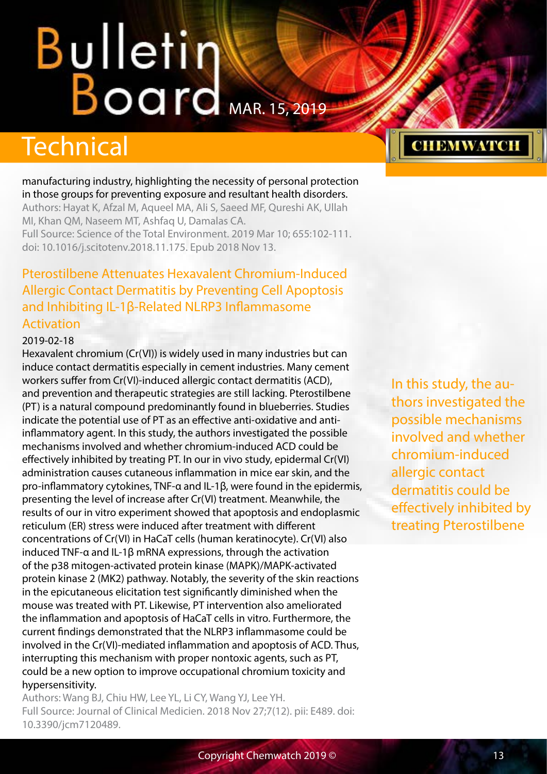## <span id="page-12-0"></span>Technical

manufacturing industry, highlighting the necessity of personal protection in those groups for preventing exposure and resultant health disorders. Authors: Hayat K, Afzal M, Aqueel MA, Ali S, Saeed MF, Qureshi AK, Ullah MI, Khan QM, Naseem MT, Ashfaq U, Damalas CA. Full Source: Science of the Total Environment. 2019 Mar 10; 655:102-111. doi: 10.1016/j.scitotenv.2018.11.175. Epub 2018 Nov 13.

### Pterostilbene Attenuates Hexavalent Chromium-Induced Allergic Contact Dermatitis by Preventing Cell Apoptosis and Inhibiting IL-1β-Related NLRP3 Inflammasome Activation

#### 2019-02-18

Hexavalent chromium (Cr(VI)) is widely used in many industries but can induce contact dermatitis especially in cement industries. Many cement workers suffer from Cr(VI)-induced allergic contact dermatitis (ACD), and prevention and therapeutic strategies are still lacking. Pterostilbene (PT) is a natural compound predominantly found in blueberries. Studies indicate the potential use of PT as an effective anti-oxidative and antiinflammatory agent. In this study, the authors investigated the possible mechanisms involved and whether chromium-induced ACD could be effectively inhibited by treating PT. In our in vivo study, epidermal Cr(VI) administration causes cutaneous inflammation in mice ear skin, and the pro-inflammatory cytokines, TNF-α and IL-1β, were found in the epidermis, presenting the level of increase after Cr(VI) treatment. Meanwhile, the results of our in vitro experiment showed that apoptosis and endoplasmic reticulum (ER) stress were induced after treatment with different concentrations of Cr(VI) in HaCaT cells (human keratinocyte). Cr(VI) also induced TNF-α and IL-1β mRNA expressions, through the activation of the p38 mitogen-activated protein kinase (MAPK)/MAPK-activated protein kinase 2 (MK2) pathway. Notably, the severity of the skin reactions in the epicutaneous elicitation test significantly diminished when the mouse was treated with PT. Likewise, PT intervention also ameliorated the inflammation and apoptosis of HaCaT cells in vitro. Furthermore, the current findings demonstrated that the NLRP3 inflammasome could be involved in the Cr(VI)-mediated inflammation and apoptosis of ACD. Thus, interrupting this mechanism with proper nontoxic agents, such as PT, could be a new option to improve occupational chromium toxicity and hypersensitivity.

Authors: Wang BJ, Chiu HW, Lee YL, Li CY, Wang YJ, Lee YH. Full Source: Journal of Clinical Medicien. 2018 Nov 27;7(12). pii: E489. doi: 10.3390/jcm7120489.

In this study, the authors investigated the possible mechanisms involved and whether chromium-induced allergic contact dermatitis could be effectively inhibited by treating Pterostilbene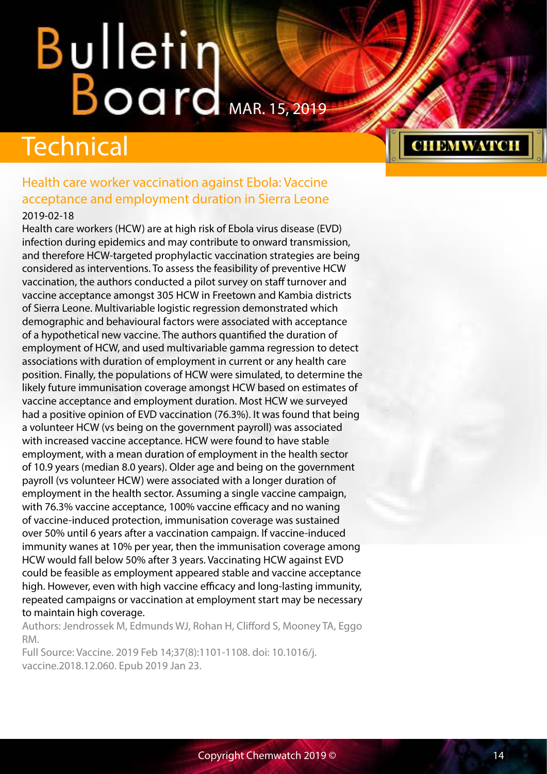## <span id="page-13-0"></span>Technical

#### Health care worker vaccination against Ebola: Vaccine acceptance and employment duration in Sierra Leone 2019-02-18

Health care workers (HCW) are at high risk of Ebola virus disease (EVD) infection during epidemics and may contribute to onward transmission, and therefore HCW-targeted prophylactic vaccination strategies are being considered as interventions. To assess the feasibility of preventive HCW vaccination, the authors conducted a pilot survey on staff turnover and vaccine acceptance amongst 305 HCW in Freetown and Kambia districts of Sierra Leone. Multivariable logistic regression demonstrated which demographic and behavioural factors were associated with acceptance of a hypothetical new vaccine. The authors quantified the duration of employment of HCW, and used multivariable gamma regression to detect associations with duration of employment in current or any health care position. Finally, the populations of HCW were simulated, to determine the likely future immunisation coverage amongst HCW based on estimates of vaccine acceptance and employment duration. Most HCW we surveyed had a positive opinion of EVD vaccination (76.3%). It was found that being a volunteer HCW (vs being on the government payroll) was associated with increased vaccine acceptance. HCW were found to have stable employment, with a mean duration of employment in the health sector of 10.9 years (median 8.0 years). Older age and being on the government payroll (vs volunteer HCW) were associated with a longer duration of employment in the health sector. Assuming a single vaccine campaign, with 76.3% vaccine acceptance, 100% vaccine efficacy and no waning of vaccine-induced protection, immunisation coverage was sustained over 50% until 6 years after a vaccination campaign. If vaccine-induced immunity wanes at 10% per year, then the immunisation coverage among HCW would fall below 50% after 3 years. Vaccinating HCW against EVD could be feasible as employment appeared stable and vaccine acceptance high. However, even with high vaccine efficacy and long-lasting immunity, repeated campaigns or vaccination at employment start may be necessary to maintain high coverage.

Authors: Jendrossek M, Edmunds WJ, Rohan H, Clifford S, Mooney TA, Eggo RM.

Full Source: Vaccine. 2019 Feb 14;37(8):1101-1108. doi: 10.1016/j. vaccine.2018.12.060. Epub 2019 Jan 23.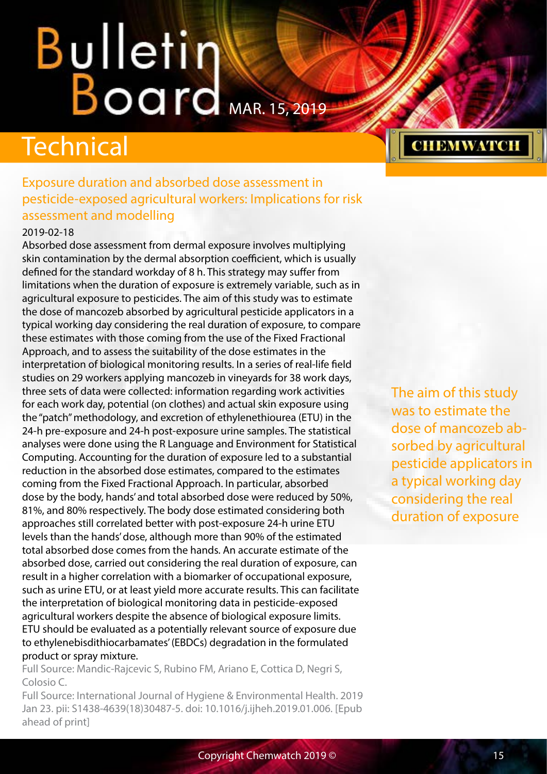## <span id="page-14-0"></span>Technical

### Exposure duration and absorbed dose assessment in pesticide-exposed agricultural workers: Implications for risk assessment and modelling

#### 2019-02-18

Absorbed dose assessment from dermal exposure involves multiplying skin contamination by the dermal absorption coefficient, which is usually defined for the standard workday of 8 h. This strategy may suffer from limitations when the duration of exposure is extremely variable, such as in agricultural exposure to pesticides. The aim of this study was to estimate the dose of mancozeb absorbed by agricultural pesticide applicators in a typical working day considering the real duration of exposure, to compare these estimates with those coming from the use of the Fixed Fractional Approach, and to assess the suitability of the dose estimates in the interpretation of biological monitoring results. In a series of real-life field studies on 29 workers applying mancozeb in vineyards for 38 work days, three sets of data were collected: information regarding work activities for each work day, potential (on clothes) and actual skin exposure using the "patch" methodology, and excretion of ethylenethiourea (ETU) in the 24-h pre-exposure and 24-h post-exposure urine samples. The statistical analyses were done using the R Language and Environment for Statistical Computing. Accounting for the duration of exposure led to a substantial reduction in the absorbed dose estimates, compared to the estimates coming from the Fixed Fractional Approach. In particular, absorbed dose by the body, hands' and total absorbed dose were reduced by 50%, 81%, and 80% respectively. The body dose estimated considering both approaches still correlated better with post-exposure 24-h urine ETU levels than the hands' dose, although more than 90% of the estimated total absorbed dose comes from the hands. An accurate estimate of the absorbed dose, carried out considering the real duration of exposure, can result in a higher correlation with a biomarker of occupational exposure, such as urine ETU, or at least yield more accurate results. This can facilitate the interpretation of biological monitoring data in pesticide-exposed agricultural workers despite the absence of biological exposure limits. ETU should be evaluated as a potentially relevant source of exposure due to ethylenebisdithiocarbamates' (EBDCs) degradation in the formulated product or spray mixture.

Full Source: Mandic-Rajcevic S, Rubino FM, Ariano E, Cottica D, Negri S, Colosio C.

Full Source: International Journal of Hygiene & Environmental Health. 2019 Jan 23. pii: S1438-4639(18)30487-5. doi: 10.1016/j.ijheh.2019.01.006. [Epub ahead of print]

The aim of this study was to estimate the dose of mancozeb absorbed by agricultural pesticide applicators in a typical working day considering the real duration of exposure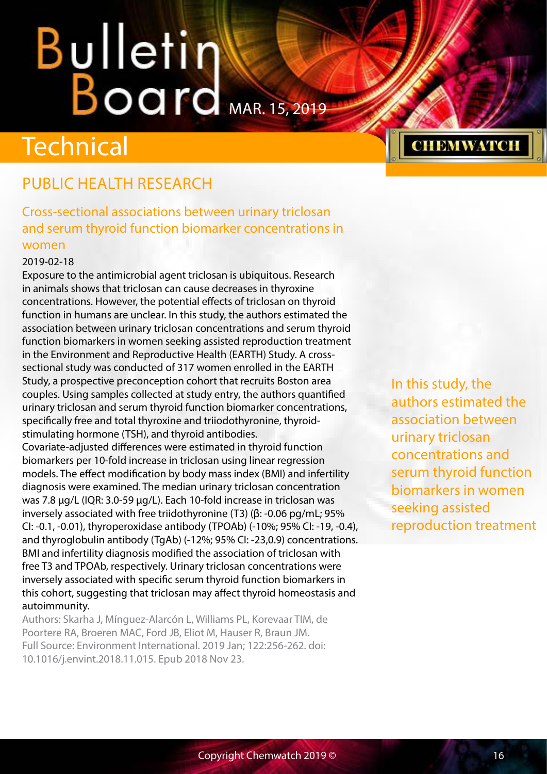## <span id="page-15-0"></span>**Technical**

## PUBLIC HEALTH RESEARCH

Cross-sectional associations between urinary triclosan and serum thyroid function biomarker concentrations in women

#### 2019-02-18

Exposure to the antimicrobial agent triclosan is ubiquitous. Research in animals shows that triclosan can cause decreases in thyroxine concentrations. However, the potential effects of triclosan on thyroid function in humans are unclear. In this study, the authors estimated the association between urinary triclosan concentrations and serum thyroid function biomarkers in women seeking assisted reproduction treatment in the Environment and Reproductive Health (EARTH) Study. A crosssectional study was conducted of 317 women enrolled in the EARTH Study, a prospective preconception cohort that recruits Boston area couples. Using samples collected at study entry, the authors quantified urinary triclosan and serum thyroid function biomarker concentrations, specifically free and total thyroxine and triiodothyronine, thyroidstimulating hormone (TSH), and thyroid antibodies.

Covariate-adjusted differences were estimated in thyroid function biomarkers per 10-fold increase in triclosan using linear regression models. The effect modification by body mass index (BMI) and infertility diagnosis were examined. The median urinary triclosan concentration was 7.8 μg/L (IQR: 3.0-59 μg/L). Each 10-fold increase in triclosan was inversely associated with free triidothyronine (T3) (β: -0.06 pg/mL; 95% CI: -0.1, -0.01), thyroperoxidase antibody (TPOAb) (-10%; 95% CI: -19, -0.4), and thyroglobulin antibody (TgAb) (-12%; 95% CI: -23,0.9) concentrations. BMI and infertility diagnosis modified the association of triclosan with free T3 and TPOAb, respectively. Urinary triclosan concentrations were inversely associated with specific serum thyroid function biomarkers in this cohort, suggesting that triclosan may affect thyroid homeostasis and autoimmunity.

Authors: Skarha J, Mínguez-Alarcón L, Williams PL, Korevaar TIM, de Poortere RA, Broeren MAC, Ford JB, Eliot M, Hauser R, Braun JM. Full Source: Environment International. 2019 Jan; 122:256-262. doi: 10.1016/j.envint.2018.11.015. Epub 2018 Nov 23.

In this study, the authors estimated the association between urinary triclosan concentrations and serum thyroid function biomarkers in women seeking assisted reproduction treatment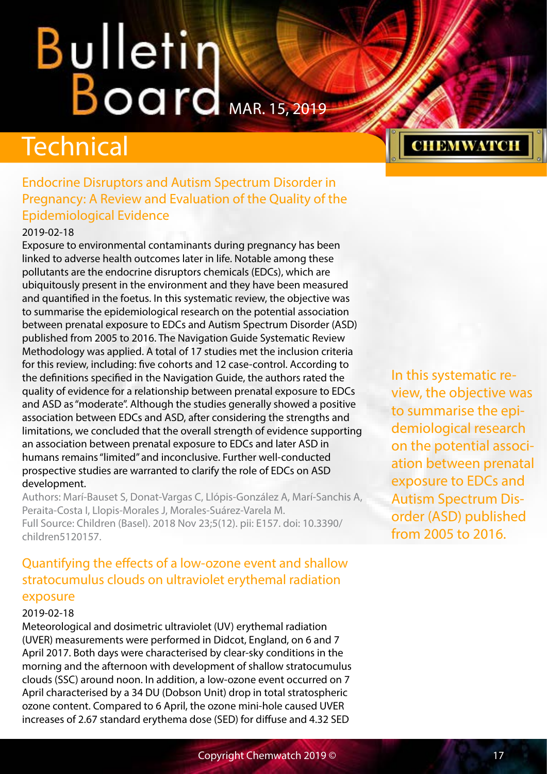## <span id="page-16-0"></span>**Technical**

### Endocrine Disruptors and Autism Spectrum Disorder in Pregnancy: A Review and Evaluation of the Quality of the Epidemiological Evidence

#### 2019-02-18

Exposure to environmental contaminants during pregnancy has been linked to adverse health outcomes later in life. Notable among these pollutants are the endocrine disruptors chemicals (EDCs), which are ubiquitously present in the environment and they have been measured and quantified in the foetus. In this systematic review, the objective was to summarise the epidemiological research on the potential association between prenatal exposure to EDCs and Autism Spectrum Disorder (ASD) published from 2005 to 2016. The Navigation Guide Systematic Review Methodology was applied. A total of 17 studies met the inclusion criteria for this review, including: five cohorts and 12 case-control. According to the definitions specified in the Navigation Guide, the authors rated the quality of evidence for a relationship between prenatal exposure to EDCs and ASD as "moderate". Although the studies generally showed a positive association between EDCs and ASD, after considering the strengths and limitations, we concluded that the overall strength of evidence supporting an association between prenatal exposure to EDCs and later ASD in humans remains "limited" and inconclusive. Further well-conducted prospective studies are warranted to clarify the role of EDCs on ASD development.

Authors: Marí-Bauset S, Donat-Vargas C, Llópis-González A, Marí-Sanchis A, Peraita-Costa I, Llopis-Morales J, Morales-Suárez-Varela M. Full Source: Children (Basel). 2018 Nov 23;5(12). pii: E157. doi: 10.3390/ children5120157.

### Quantifying the effects of a low-ozone event and shallow stratocumulus clouds on ultraviolet erythemal radiation exposure

#### 2019-02-18

Meteorological and dosimetric ultraviolet (UV) erythemal radiation (UVER) measurements were performed in Didcot, England, on 6 and 7 April 2017. Both days were characterised by clear-sky conditions in the morning and the afternoon with development of shallow stratocumulus clouds (SSC) around noon. In addition, a low-ozone event occurred on 7 April characterised by a 34 DU (Dobson Unit) drop in total stratospheric ozone content. Compared to 6 April, the ozone mini-hole caused UVER increases of 2.67 standard erythema dose (SED) for diffuse and 4.32 SED

In this systematic review, the objective was to summarise the epidemiological research on the potential association between prenatal exposure to EDCs and Autism Spectrum Disorder (ASD) published from 2005 to 2016.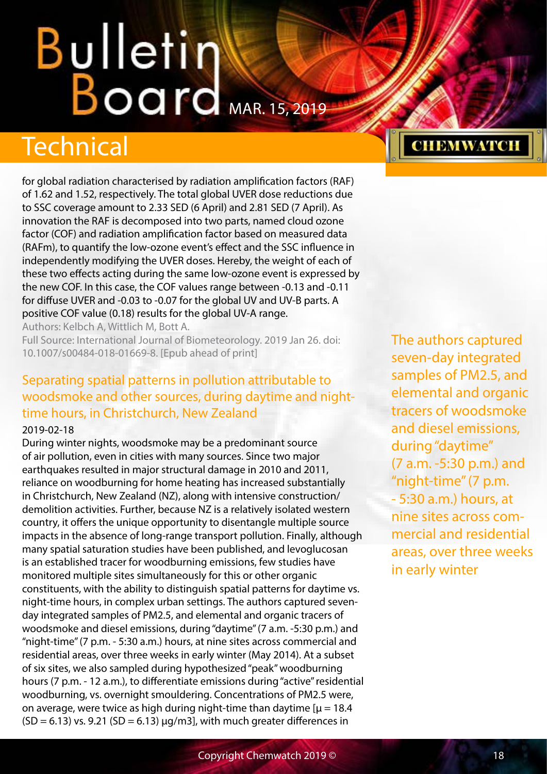## <span id="page-17-0"></span>Technical

for global radiation characterised by radiation amplification factors (RAF) of 1.62 and 1.52, respectively. The total global UVER dose reductions due to SSC coverage amount to 2.33 SED (6 April) and 2.81 SED (7 April). As innovation the RAF is decomposed into two parts, named cloud ozone factor (COF) and radiation amplification factor based on measured data (RAFm), to quantify the low-ozone event's effect and the SSC influence in independently modifying the UVER doses. Hereby, the weight of each of these two effects acting during the same low-ozone event is expressed by the new COF. In this case, the COF values range between -0.13 and -0.11 for diffuse UVER and -0.03 to -0.07 for the global UV and UV-B parts. A positive COF value (0.18) results for the global UV-A range.

Authors: Kelbch A, Wittlich M, Bott A.

Full Source: International Journal of Biometeorology. 2019 Jan 26. doi: 10.1007/s00484-018-01669-8. [Epub ahead of print]

## Separating spatial patterns in pollution attributable to woodsmoke and other sources, during daytime and nighttime hours, in Christchurch, New Zealand

#### 2019-02-18

During winter nights, woodsmoke may be a predominant source of air pollution, even in cities with many sources. Since two major earthquakes resulted in major structural damage in 2010 and 2011, reliance on woodburning for home heating has increased substantially in Christchurch, New Zealand (NZ), along with intensive construction/ demolition activities. Further, because NZ is a relatively isolated western country, it offers the unique opportunity to disentangle multiple source impacts in the absence of long-range transport pollution. Finally, although many spatial saturation studies have been published, and levoglucosan is an established tracer for woodburning emissions, few studies have monitored multiple sites simultaneously for this or other organic constituents, with the ability to distinguish spatial patterns for daytime vs. night-time hours, in complex urban settings. The authors captured sevenday integrated samples of PM2.5, and elemental and organic tracers of woodsmoke and diesel emissions, during "daytime" (7 a.m. -5:30 p.m.) and "night-time" (7 p.m. - 5:30 a.m.) hours, at nine sites across commercial and residential areas, over three weeks in early winter (May 2014). At a subset of six sites, we also sampled during hypothesized "peak" woodburning hours (7 p.m. - 12 a.m.), to differentiate emissions during "active" residential woodburning, vs. overnight smouldering. Concentrations of PM2.5 were, on average, were twice as high during night-time than daytime  $[\mu = 18.4]$  $(SD = 6.13)$  vs. 9.21  $(SD = 6.13)$   $\mu q/m3$ , with much greater differences in

The authors captured seven-day integrated samples of PM2.5, and elemental and organic tracers of woodsmoke and diesel emissions, during "daytime" (7 a.m. -5:30 p.m.) and "night-time" (7 p.m. - 5:30 a.m.) hours, at nine sites across commercial and residential areas, over three weeks in early winter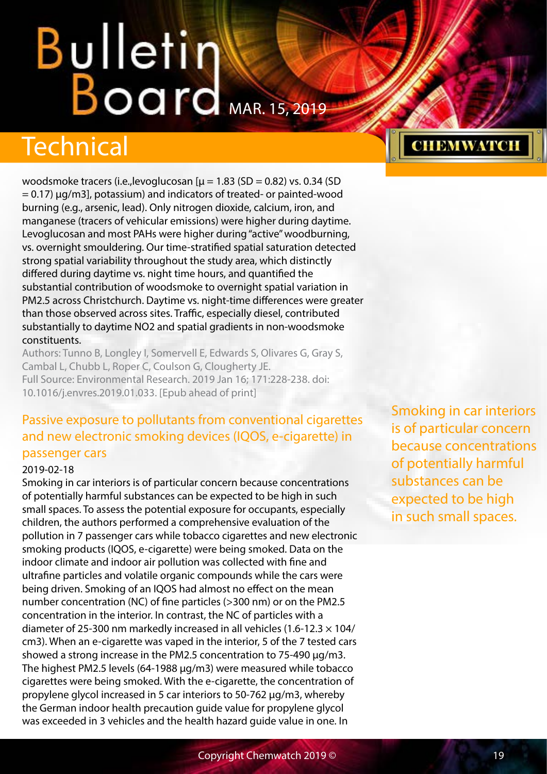## <span id="page-18-0"></span>Technical

woodsmoke tracers (i.e., levoglucosan  $[\mu = 1.83 \text{ (SD} = 0.82) \text{ vs. } 0.34 \text{ (SD)}$ = 0.17) µg/m3], potassium) and indicators of treated- or painted-wood burning (e.g., arsenic, lead). Only nitrogen dioxide, calcium, iron, and manganese (tracers of vehicular emissions) were higher during daytime. Levoglucosan and most PAHs were higher during "active" woodburning, vs. overnight smouldering. Our time-stratified spatial saturation detected strong spatial variability throughout the study area, which distinctly differed during daytime vs. night time hours, and quantified the substantial contribution of woodsmoke to overnight spatial variation in PM2.5 across Christchurch. Daytime vs. night-time differences were greater than those observed across sites. Traffic, especially diesel, contributed substantially to daytime NO2 and spatial gradients in non-woodsmoke constituents.

Authors: Tunno B, Longley I, Somervell E, Edwards S, Olivares G, Gray S, Cambal L, Chubb L, Roper C, Coulson G, Clougherty JE. Full Source: Environmental Research. 2019 Jan 16; 171:228-238. doi: 10.1016/j.envres.2019.01.033. [Epub ahead of print]

### Passive exposure to pollutants from conventional cigarettes and new electronic smoking devices (IQOS, e-cigarette) in passenger cars

#### 2019-02-18

Smoking in car interiors is of particular concern because concentrations of potentially harmful substances can be expected to be high in such small spaces. To assess the potential exposure for occupants, especially children, the authors performed a comprehensive evaluation of the pollution in 7 passenger cars while tobacco cigarettes and new electronic smoking products (IQOS, e-cigarette) were being smoked. Data on the indoor climate and indoor air pollution was collected with fine and ultrafine particles and volatile organic compounds while the cars were being driven. Smoking of an IQOS had almost no effect on the mean number concentration (NC) of fine particles (>300 nm) or on the PM2.5 concentration in the interior. In contrast, the NC of particles with a diameter of 25-300 nm markedly increased in all vehicles (1.6-12.3  $\times$  104/ cm3). When an e-cigarette was vaped in the interior, 5 of the 7 tested cars showed a strong increase in the PM2.5 concentration to 75-490 μg/m3. The highest PM2.5 levels (64-1988 μg/m3) were measured while tobacco cigarettes were being smoked. With the e-cigarette, the concentration of propylene glycol increased in 5 car interiors to 50-762 μg/m3, whereby the German indoor health precaution guide value for propylene glycol was exceeded in 3 vehicles and the health hazard guide value in one. In

Smoking in car interiors is of particular concern because concentrations of potentially harmful substances can be expected to be high in such small spaces.